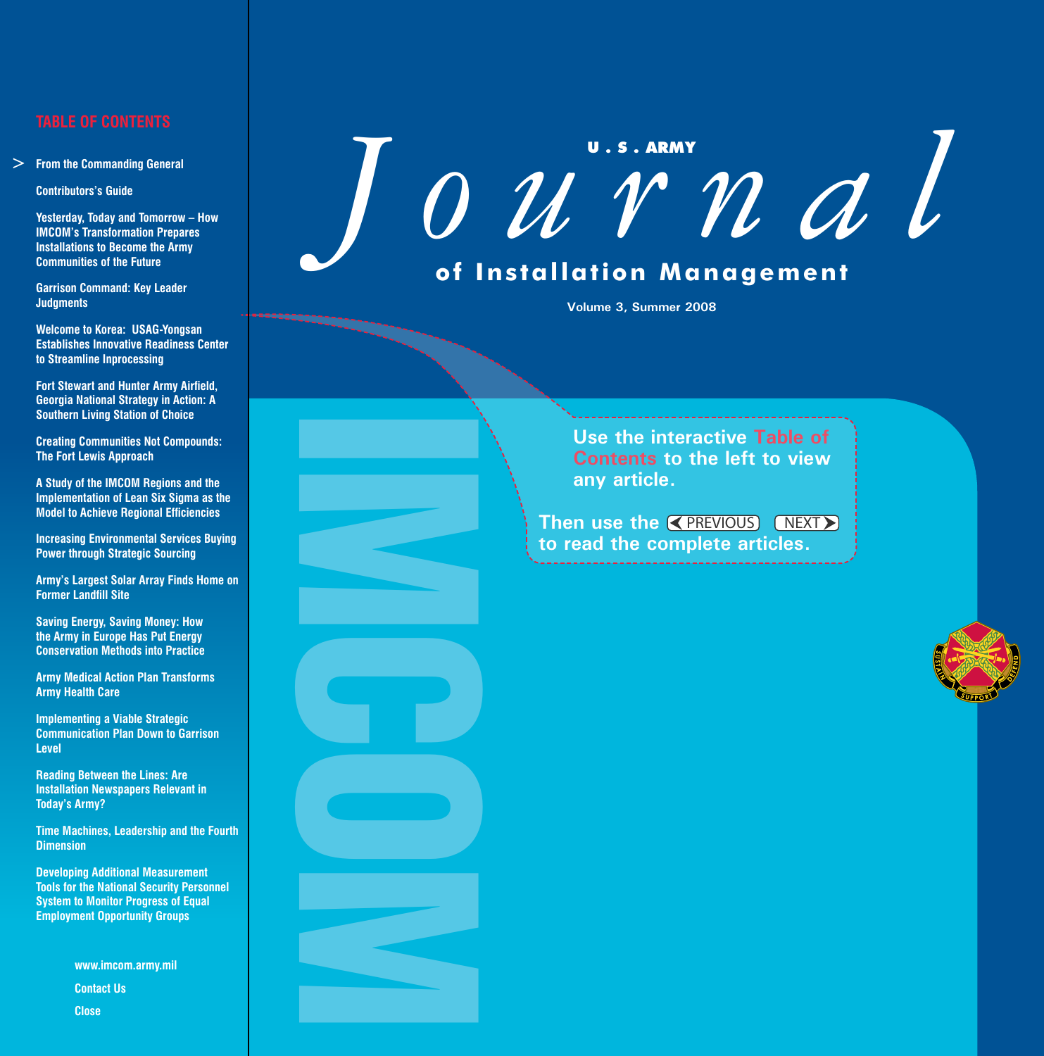## **TABLE OF CONTENTS**

**From the Commanding General**

**Contributors's Guide**

 **Yesterday, Today and Tomorrow – How IMCOM's Transformation Prepares Installations to Become the Army Communities of the Future**

 **Garrison Command: Key Leader Judgments**

 **Welcome to Korea: USAG-Yongsan Establishes Innovative Readiness Center to Streamline Inprocessing**

 **Fort Stewart and Hunter Army Airfield, Georgia National Strategy in Action: A Southern Living Station of Choice**

**Creating Communities Not Compounds: The Fort Lewis Approach**

 **A Study of the IMCOM Regions and the Implementation of Lean Six Sigma as the Model to Achieve Regional Efficiencies**

**Increasing Environmental Services Buying Power through Strategic Sourcing**

**Army's Largest Solar Array Finds Home on Former Landfill Site**

 **Saving Energy, Saving Money: How the Army in Europe Has Put Energy Conservation Methods into Practice**

**Army Medical Action Plan Transforms Army Health Care**

**Implementing a Viable Strategic Communication Plan Down to Garrison Level**

IMCOM

 **Reading Between the Lines: Are Installation Newspapers Relevant in Today's Army?**

**Time Machines, Leadership and the Fourth Dimension**

 **Developing Additional Measurement Tools for the National Security Personnel System to Monitor Progress of Equal Employment Opportunity Groups** → From the Com<br>
Contributors's<br>
Yesterday, Tou<br>
IMCOM's Trar<br>
Installations t<br>
Communities<br>
Garrison Com<br>
Judgments<br>
Welcome to K<br>
Establishes In<br>
to Streamline<br>
Fort Stewart a<br>
Georgia Natio<br>
Southern Livii<br>
Creating C

**www.imcom.army.mil Contact Us Close** 

# **U . S . ARMY** *Journal* **of Installation Management**

**Volume 3, Summer 2008**

**Use the interactive Table of Contents to the left to view any article.**

Then use the **K PREVIOUS** NEXT **to read the complete articles.**

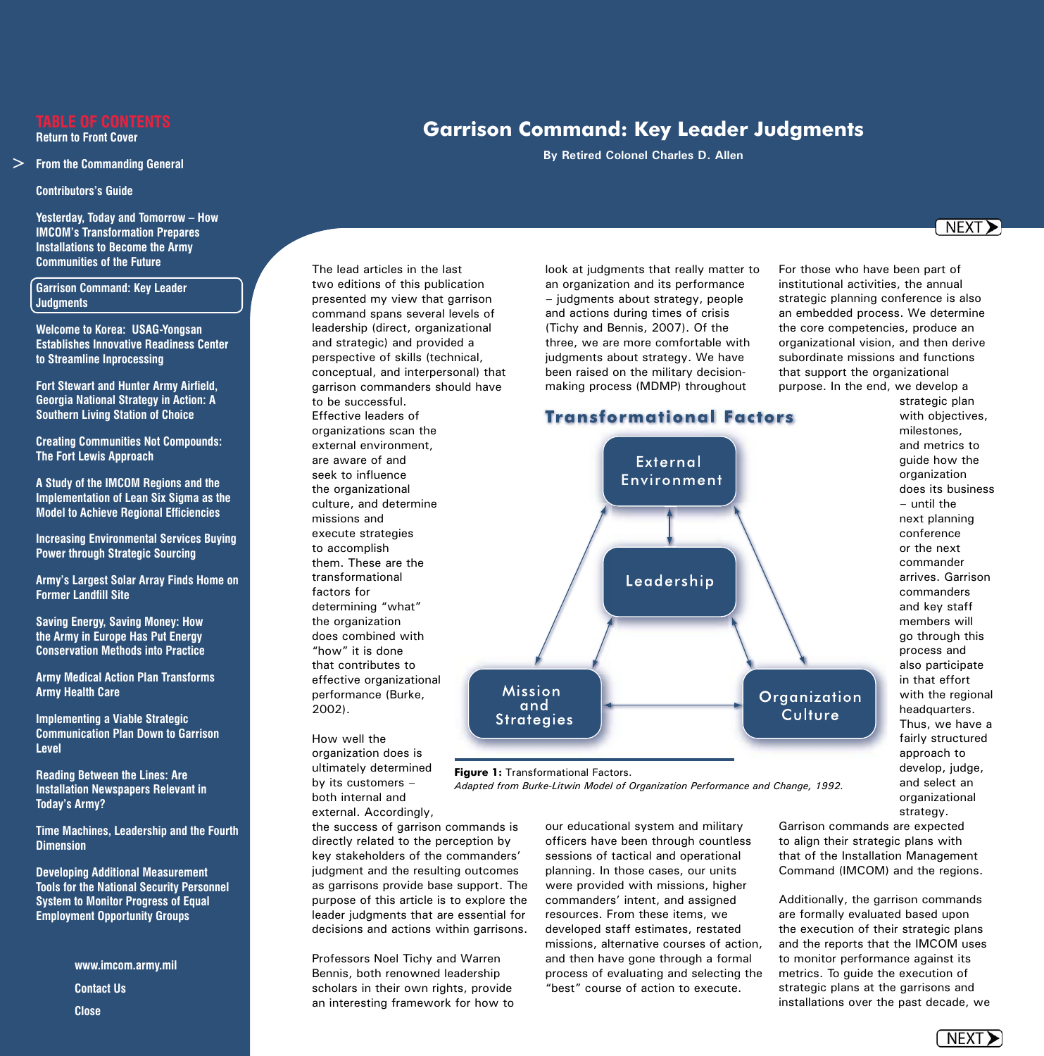#### **From the Commanding General**

**Contributors's Guide**

 **Yesterday, Today and Tomorrow – How IMCOM's Transformation Prepares Installations to Become the Army Communities of the Future**

## **Garrison Command: Key Leader Judgments**

 **Welcome to Korea: USAG-Yongsan Establishes Innovative Readiness Center to Streamline Inprocessing**

 **Fort Stewart and Hunter Army Airfield, Georgia National Strategy in Action: A Southern Living Station of Choice**

**Creating Communities Not Compounds: The Fort Lewis Approach**

 **A Study of the IMCOM Regions and the Implementation of Lean Six Sigma as the Model to Achieve Regional Efficiencies**

**Increasing Environmental Services Buying Power through Strategic Sourcing**

**Army's Largest Solar Array Finds Home on Former Landfill Site**

 **Saving Energy, Saving Money: How the Army in Europe Has Put Energy Conservation Methods into Practice**

**Army Medical Action Plan Transforms Army Health Care**

**Implementing a Viable Strategic Communication Plan Down to Garrison Level**

 **Reading Between the Lines: Are Installation Newspapers Relevant in Today's Army?**

**Time Machines, Leadership and the Fourth Dimension**

 **Developing Additional Measurement Tools for the National Security Personnel System to Monitor Progress of Equal Employment Opportunity Groups** → From the Com<br>
Contributors's<br>
Yesterday, Tou<br>
IMCOM's Trar<br>
Installations t<br>
Communities<br>
Communities<br>
Contrison Com<br>
Judgments<br>
Welcome to K<br>
Establishes In<br>
to Streamline<br>
Fort Stewart a<br>
Georgia Natio<br>
Southern Liv

**www.imcom.army.mil Contact Us Close** 

The lead articles in the last two editions of this publication presented my view that garrison command spans several levels of leadership (direct, organizational and strategic) and provided a perspective of skills (technical, conceptual, and interpersonal) that garrison commanders should have to be successful. Effective leaders of organizations scan the external environment, are aware of and seek to influence the organizational culture, and determine missions and execute strategies to accomplish them. These are the transformational factors for determining "what" the organization does combined with "how" it is done that contributes to effective organizational performance (Burke,

How well the organization does is ultimately determined by its customers both internal and external. Accordingly,

2002).

the success of garrison commands is directly related to the perception by key stakeholders of the commanders' judgment and the resulting outcomes as garrisons provide base support. The purpose of this article is to explore the leader judgments that are essential for decisions and actions within garrisons.

Professors Noel Tichy and Warren Bennis, both renowned leadership scholars in their own rights, provide an interesting framework for how to look at judgments that really matter to an organization and its performance — judgments about strategy, people and actions during times of crisis (Tichy and Bennis, 2007). Of the three, we are more comfortable with judgments about strategy. We have been raised on the military decision-

our educational system and military officers have been through countless sessions of tactical and operational planning. In those cases, our units were provided with missions, higher commanders' intent, and assigned **Figure 1: Transformational Factors.** *Adapted from Burke-Litwin Model of Organization Performance and Change, 1992.*

resources. From these items, we developed staff estimates, restated missions, alternative courses of action, and then have gone through a formal process of evaluating and selecting the "best" course of action to execute.

For those who have been part of institutional activities, the annual strategic planning conference is also an embedded process. We determine the core competencies, produce an organizational vision, and then derive subordinate missions and functions that support the organizational purpose. In the end, we develop a

> strategic plan with objectives, milestones, and metrics to guide how the organization does its business — until the next planning conference or the next commander arrives. Garrison commanders and key staff members will go through this process and also participate in that effort with the regional headquarters. Thus, we have a fairly structured approach to develop, judge, and select an organizational strategy.

Garrison commands are expected to align their strategic plans with that of the Installation Management Command (IMCOM) and the regions.

Additionally, the garrison commands are formally evaluated based upon the execution of their strategic plans and the reports that the IMCOM uses to monitor performance against its metrics. To guide the execution of strategic plans at the garrisons and installations over the past decade, we





# NEXT<sub>></sub>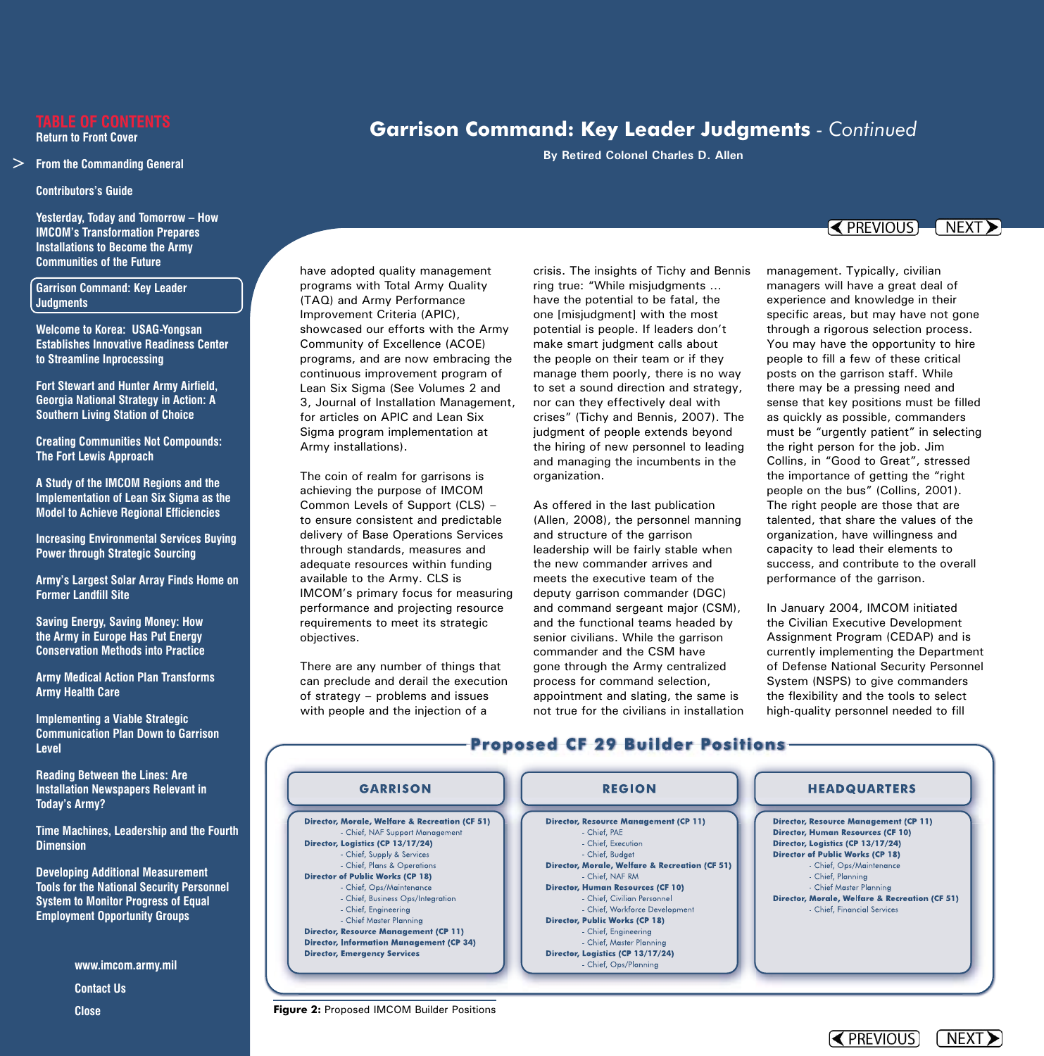#### **From the Commanding General**

**Contributors's Guide**

 **Yesterday, Today and Tomorrow – How IMCOM's Transformation Prepares Installations to Become the Army Communities of the Future**

## **Garrison Command: Key Leader Judgments**

 **Welcome to Korea: USAG-Yongsan Establishes Innovative Readiness Center to Streamline Inprocessing**

 **Fort Stewart and Hunter Army Airfield, Georgia National Strategy in Action: A Southern Living Station of Choice**

**Creating Communities Not Compounds: The Fort Lewis Approach**

 **A Study of the IMCOM Regions and the Implementation of Lean Six Sigma as the Model to Achieve Regional Efficiencies**

**Increasing Environmental Services Buying Power through Strategic Sourcing**

**Army's Largest Solar Array Finds Home on Former Landfill Site**

 **Saving Energy, Saving Money: How the Army in Europe Has Put Energy Conservation Methods into Practice**

**Army Medical Action Plan Transforms Army Health Care**

**Implementing a Viable Strategic Communication Plan Down to Garrison Level**

 **Reading Between the Lines: Are Installation Newspapers Relevant in Today's Army?**

**Time Machines, Leadership and the Fourth Dimension**

 **Developing Additional Measurement Tools for the National Security Personnel System to Monitor Progress of Equal Employment Opportunity Groups** → From the Com<br>
Contributors's<br>
Yesterday, Tou<br>
IMCOM's Trar<br>
Installations t<br>
Communities<br>
Communities<br>
Contrison Com<br>
Judgments<br>
Welcome to K<br>
Establishes In<br>
to Streamline<br>
Fort Stewart a<br>
Georgia Natio<br>
Southern Liv

**www.imcom.army.mil Contact Us Close** 

have adopted quality management programs with Total Army Quality (TAQ) and Army Performance Improvement Criteria (APIC), showcased our efforts with the Army Community of Excellence (ACOE) programs, and are now embracing the continuous improvement program of Lean Six Sigma (See Volumes 2 and 3, Journal of Installation Management, for articles on APIC and Lean Six Sigma program implementation at Army installations).

The coin of realm for garrisons is achieving the purpose of IMCOM Common Levels of Support (CLS) to ensure consistent and predictable delivery of Base Operations Services through standards, measures and adequate resources within funding available to the Army. CLS is IMCOM's primary focus for measuring performance and projecting resource requirements to meet its strategic objectives.

There are any number of things that can preclude and derail the execution of strategy — problems and issues with people and the injection of a

crisis. The insights of Tichy and Bennis ring true: "While misjudgments … have the potential to be fatal, the one [misjudgment] with the most potential is people. If leaders don't make smart judgment calls about the people on their team or if they manage them poorly, there is no way to set a sound direction and strategy, nor can they effectively deal with crises" (Tichy and Bennis, 2007). The judgment of people extends beyond the hiring of new personnel to leading and managing the incumbents in the organization.

As offered in the last publication (Allen, 2008), the personnel manning and structure of the garrison leadership will be fairly stable when the new commander arrives and meets the executive team of the deputy garrison commander (DGC) and command sergeant major (CSM), and the functional teams headed by senior civilians. While the garrison commander and the CSM have gone through the Army centralized process for command selection, appointment and slating, the same is not true for the civilians in installation

# **Garrison Command: Key Leader Judgments** *- Continued*

**By Retired Colonel Charles D. Allen** 

## $\sim$  PREVIOUS  $\sim$  NEXT  $\ge$

management. Typically, civilian managers will have a great deal of experience and knowledge in their specific areas, but may have not gone through a rigorous selection process. You may have the opportunity to hire people to fill a few of these critical posts on the garrison staff. While there may be a pressing need and sense that key positions must be filled as quickly as possible, commanders must be "urgently patient" in selecting the right person for the job. Jim Collins, in "Good to Great", stressed the importance of getting the "right people on the bus" (Collins, 2001). The right people are those that are talented, that share the values of the organization, have willingness and capacity to lead their elements to success, and contribute to the overall performance of the garrison.

In January 2004, IMCOM initiated the Civilian Executive Development Assignment Program (CEDAP) and is currently implementing the Department of Defense National Security Personnel System (NSPS) to give commanders the flexibility and the tools to select high-quality personnel needed to fill

K PREVIOUS



**Figure 2: Proposed IMCOM Builder Positions** 

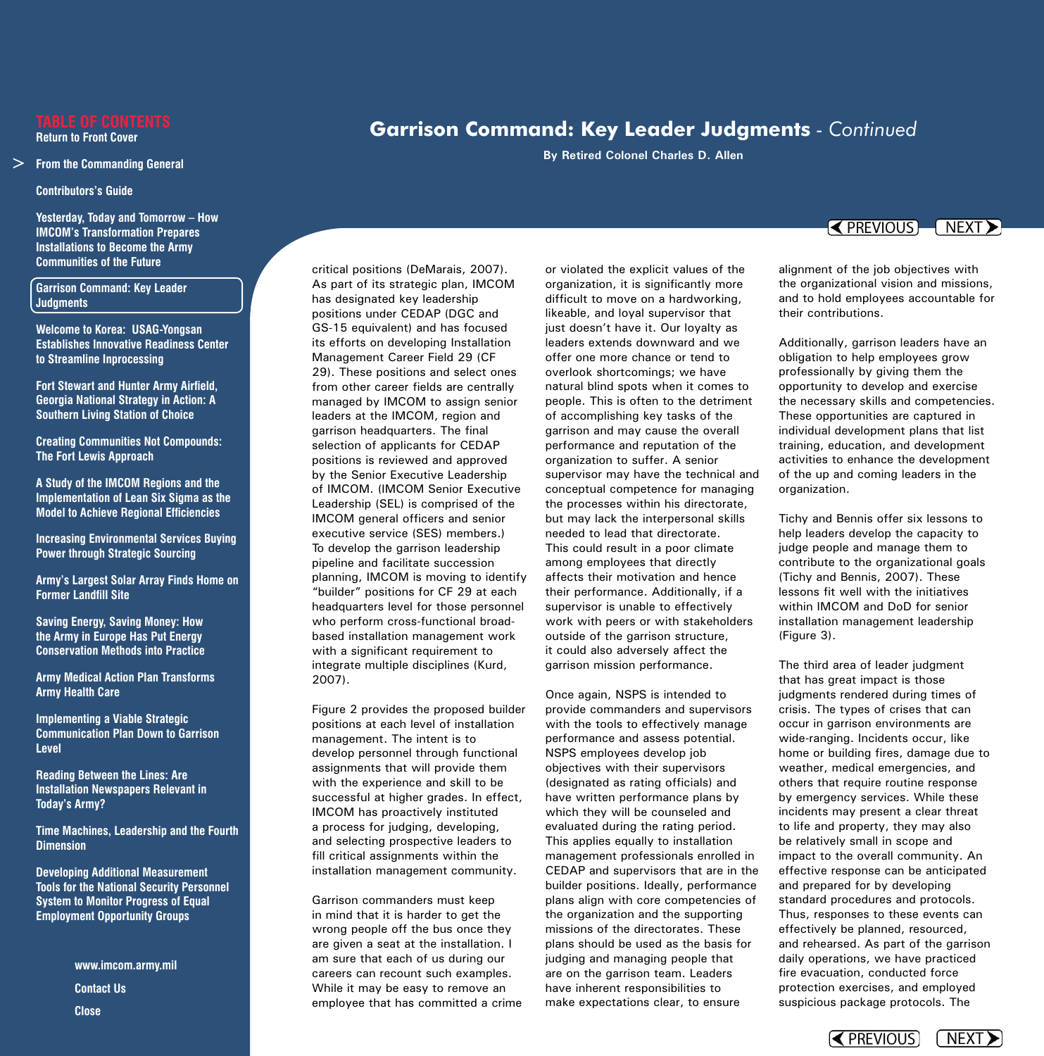### **From the Commanding General**

**Contributors's Guide**

 **Yesterday, Today and Tomorrow – How IMCOM's Transformation Prepares Installations to Become the Army Communities of the Future**

## **Garrison Command: Key Leader Judgments**

 **Welcome to Korea: USAG-Yongsan Establishes Innovative Readiness Center to Streamline Inprocessing**

 **Fort Stewart and Hunter Army Airfield, Georgia National Strategy in Action: A Southern Living Station of Choice**

**Creating Communities Not Compounds: The Fort Lewis Approach**

 **A Study of the IMCOM Regions and the Implementation of Lean Six Sigma as the Model to Achieve Regional Efficiencies**

**Increasing Environmental Services Buying Power through Strategic Sourcing**

**Army's Largest Solar Array Finds Home on Former Landfill Site**

 **Saving Energy, Saving Money: How the Army in Europe Has Put Energy Conservation Methods into Practice**

**Army Medical Action Plan Transforms Army Health Care**

**Implementing a Viable Strategic Communication Plan Down to Garrison Level**

 **Reading Between the Lines: Are Installation Newspapers Relevant in Today's Army?**

**Time Machines, Leadership and the Fourth Dimension**

 **Developing Additional Measurement Tools for the National Security Personnel System to Monitor Progress of Equal Employment Opportunity Groups** → From the Com<br>
Contributors's<br>
Yesterday, Tou<br>
IMCOM's Trar<br>
Installations t<br>
Communities<br>
Communities<br>
Contrison Com<br>
Judgments<br>
Welcome to K<br>
Establishes In<br>
to Streamline<br>
Fort Stewart a<br>
Georgia Natio<br>
Southern Liv

**www.imcom.army.mil Contact Us Close** 

critical positions (DeMarais, 2007). As part of its strategic plan, IMCOM has designated key leadership positions under CEDAP (DGC and GS-15 equivalent) and has focused its efforts on developing Installation Management Career Field 29 (CF 29). These positions and select ones from other career fields are centrally managed by IMCOM to assign senior leaders at the IMCOM, region and garrison headquarters. The final selection of applicants for CEDAP positions is reviewed and approved by the Senior Executive Leadership of IMCOM. (IMCOM Senior Executive Leadership (SEL) is comprised of the IMCOM general officers and senior executive service (SES) members.) To develop the garrison leadership pipeline and facilitate succession planning, IMCOM is moving to identify "builder" positions for CF 29 at each headquarters level for those personnel who perform cross-functional broadbased installation management work with a significant requirement to integrate multiple disciplines (Kurd, 2007).

Figure 2 provides the proposed builder positions at each level of installation management. The intent is to develop personnel through functional assignments that will provide them with the experience and skill to be successful at higher grades. In effect, IMCOM has proactively instituted a process for judging, developing, and selecting prospective leaders to fill critical assignments within the installation management community.

Garrison commanders must keep in mind that it is harder to get the wrong people off the bus once they are given a seat at the installation. I am sure that each of us during our careers can recount such examples. While it may be easy to remove an employee that has committed a crime or violated the explicit values of the organization, it is significantly more difficult to move on a hardworking, likeable, and loyal supervisor that just doesn't have it. Our loyalty as leaders extends downward and we offer one more chance or tend to overlook shortcomings; we have natural blind spots when it comes to people. This is often to the detriment of accomplishing key tasks of the garrison and may cause the overall performance and reputation of the organization to suffer. A senior supervisor may have the technical and conceptual competence for managing the processes within his directorate, but may lack the interpersonal skills needed to lead that directorate. This could result in a poor climate among employees that directly affects their motivation and hence their performance. Additionally, if a supervisor is unable to effectively work with peers or with stakeholders outside of the garrison structure, it could also adversely affect the garrison mission performance.

Once again, NSPS is intended to provide commanders and supervisors with the tools to effectively manage performance and assess potential. NSPS employees develop job objectives with their supervisors (designated as rating officials) and have written performance plans by which they will be counseled and evaluated during the rating period. This applies equally to installation management professionals enrolled in CEDAP and supervisors that are in the builder positions. Ideally, performance plans align with core competencies of the organization and the supporting missions of the directorates. These plans should be used as the basis for judging and managing people that are on the garrison team. Leaders have inherent responsibilities to make expectations clear, to ensure

# **Garrison Command: Key Leader Judgments** *- Continued*

**By Retired Colonel Charles D. Allen** 

## $\left\{ \blacktriangleleft$  PREVIOUS  $\left\{ \blacktriangleleft$  NEXT $\blacktriangleright \right\}$

alignment of the job objectives with the organizational vision and missions, and to hold employees accountable for their contributions.

Additionally, garrison leaders have an obligation to help employees grow professionally by giving them the opportunity to develop and exercise the necessary skills and competencies. These opportunities are captured in individual development plans that list training, education, and development activities to enhance the development of the up and coming leaders in the organization.

Tichy and Bennis offer six lessons to help leaders develop the capacity to judge people and manage them to contribute to the organizational goals (Tichy and Bennis, 2007). These lessons fit well with the initiatives within IMCOM and DoD for senior installation management leadership (Figure 3).

The third area of leader judgment that has great impact is those judgments rendered during times of crisis. The types of crises that can occur in garrison environments are wide-ranging. Incidents occur, like home or building fires, damage due to weather, medical emergencies, and others that require routine response by emergency services. While these incidents may present a clear threat to life and property, they may also be relatively small in scope and impact to the overall community. An effective response can be anticipated and prepared for by developing standard procedures and protocols. Thus, responses to these events can effectively be planned, resourced, and rehearsed. As part of the garrison daily operations, we have practiced fire evacuation, conducted force protection exercises, and employed suspicious package protocols. The

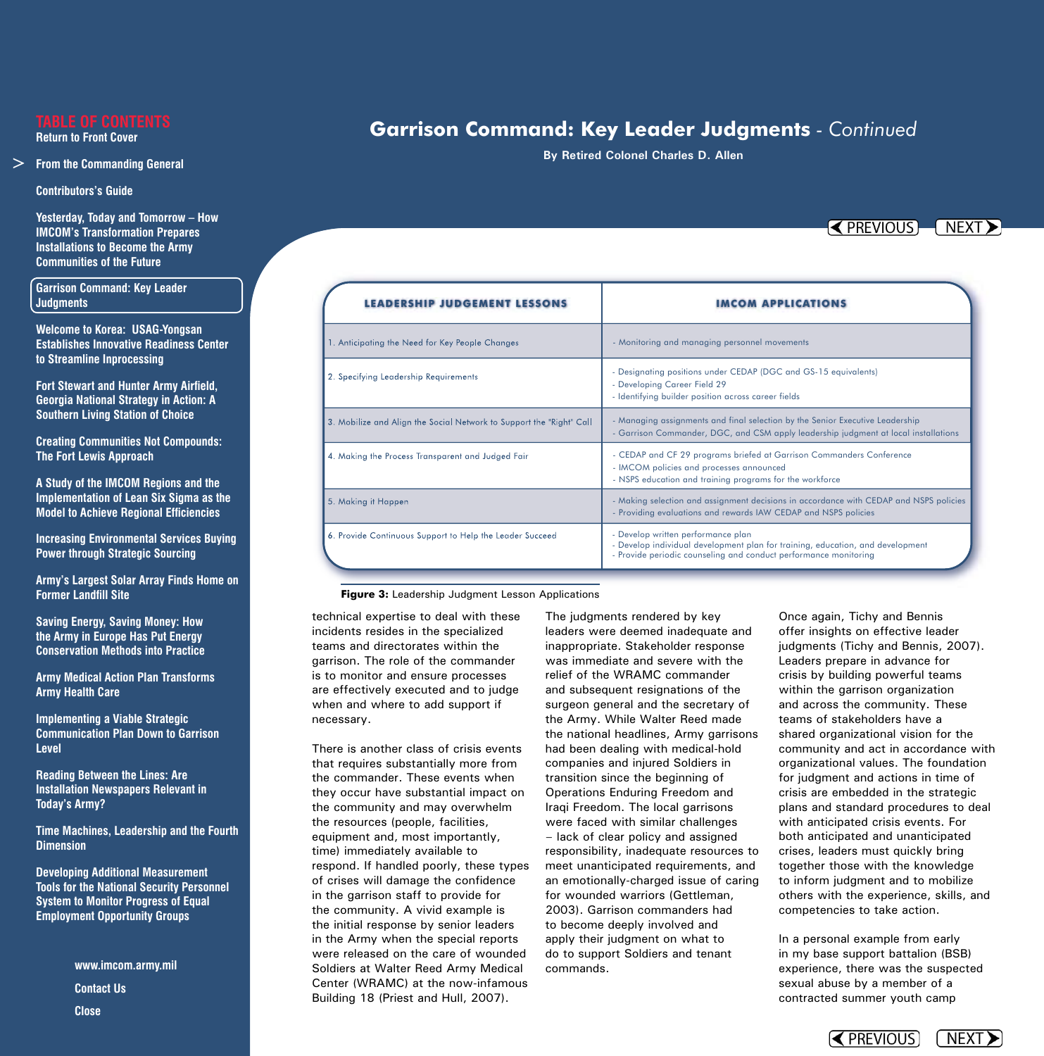#### **From the Commanding General**

**Contributors's Guide**

 **Yesterday, Today and Tomorrow – How IMCOM's Transformation Prepares Installations to Become the Army Communities of the Future**

## **Garrison Command: Key Leader Judgments**

 **Welcome to Korea: USAG-Yongsan Establishes Innovative Readiness Center to Streamline Inprocessing**

 **Fort Stewart and Hunter Army Airfield, Georgia National Strategy in Action: A Southern Living Station of Choice**

**Creating Communities Not Compounds: The Fort Lewis Approach**

 **A Study of the IMCOM Regions and the Implementation of Lean Six Sigma as the Model to Achieve Regional Efficiencies**

**Increasing Environmental Services Buying Power through Strategic Sourcing**

**Army's Largest Solar Array Finds Home on Former Landfill Site**

 **Saving Energy, Saving Money: How the Army in Europe Has Put Energy Conservation Methods into Practice**

**Army Medical Action Plan Transforms Army Health Care**

**Implementing a Viable Strategic Communication Plan Down to Garrison Level**

 **Reading Between the Lines: Are Installation Newspapers Relevant in Today's Army?**

**Time Machines, Leadership and the Fourth Dimension**

 **Developing Additional Measurement Tools for the National Security Personnel System to Monitor Progress of Equal Employment Opportunity Groups** → From the Com<br>
Contributors's<br>
Yesterday, Tou<br>
IMCOM's Trar<br>
Installations t<br>
Communities<br>
Communities<br>
Contrison Com<br>
Judgments<br>
Welcome to K<br>
Establishes In<br>
to Streamline<br>
Fort Stewart a<br>
Georgia Natio<br>
Southern Liv

**www.imcom.army.mil Contact Us Close** 

# **Garrison Command: Key Leader Judgments** *- Continued*

**By Retired Colonel Charles D. Allen** 

 $\sim$  PREVIOUS  $\sim$  NEXT  $\ge$ 

| <b>LEADERSHIP JUDGEMENT LESSO</b>                                    |                                                                                                                                                                                          |
|----------------------------------------------------------------------|------------------------------------------------------------------------------------------------------------------------------------------------------------------------------------------|
| 1. Anticipating the Need for Key People Changes                      | - Monitoring and managing personnel movements                                                                                                                                            |
| 2. Specifying Leadership Requirements                                | - Designating positions under CEDAP (DGC and GS-15 equivalents)<br>- Developing Career Field 29<br>- Identifying builder position across career fields                                   |
| 3. Mobilize and Align the Social Network to Support the "Right" Call | - Managing assignments and final selection by the Senior Executive Leadership<br>- Garrison Commander, DGC, and CSM apply leadership judgment at local installations                     |
| 4. Making the Process Transparent and Judged Fair                    | - CEDAP and CF 29 programs briefed at Garrison Commanders Conference<br>- IMCOM policies and processes announced<br>- NSPS education and training programs for the workforce             |
| 5. Making it Happen                                                  | - Making selection and assignment decisions in accordance with CEDAP and NSPS policies<br>- Providing evaluations and rewards IAW CEDAP and NSPS policies                                |
| 6. Provide Continuous Support to Help the Leader Succeed             | - Develop written performance plan<br>- Develop individual development plan for training, education, and development<br>- Provide periodic counseling and conduct performance monitoring |

**Figure 3:** Leadership Judgment Lesson Applications

technical expertise to deal with these incidents resides in the specialized teams and directorates within the garrison. The role of the commander is to monitor and ensure processes are effectively executed and to judge when and where to add support if necessary.

There is another class of crisis events that requires substantially more from the commander. These events when they occur have substantial impact on the community and may overwhelm the resources (people, facilities, equipment and, most importantly, time) immediately available to respond. If handled poorly, these types of crises will damage the confidence in the garrison staff to provide for the community. A vivid example is the initial response by senior leaders in the Army when the special reports were released on the care of wounded Soldiers at Walter Reed Army Medical Center (WRAMC) at the now-infamous Building 18 (Priest and Hull, 2007).

The judgments rendered by key leaders were deemed inadequate and inappropriate. Stakeholder response was immediate and severe with the relief of the WRAMC commander and subsequent resignations of the surgeon general and the secretary of the Army. While Walter Reed made the national headlines, Army garrisons had been dealing with medical-hold companies and injured Soldiers in transition since the beginning of Operations Enduring Freedom and Iraqi Freedom. The local garrisons were faced with similar challenges — lack of clear policy and assigned responsibility, inadequate resources to meet unanticipated requirements, and an emotionally-charged issue of caring for wounded warriors (Gettleman, 2003). Garrison commanders had to become deeply involved and apply their judgment on what to do to support Soldiers and tenant commands.

Once again, Tichy and Bennis offer insights on effective leader judgments (Tichy and Bennis, 2007). Leaders prepare in advance for crisis by building powerful teams within the garrison organization and across the community. These teams of stakeholders have a shared organizational vision for the community and act in accordance with organizational values. The foundation for judgment and actions in time of crisis are embedded in the strategic plans and standard procedures to deal with anticipated crisis events. For both anticipated and unanticipated crises, leaders must quickly bring together those with the knowledge to inform judgment and to mobilize others with the experience, skills, and competencies to take action.

In a personal example from early in my base support battalion (BSB) experience, there was the suspected sexual abuse by a member of a contracted summer youth camp